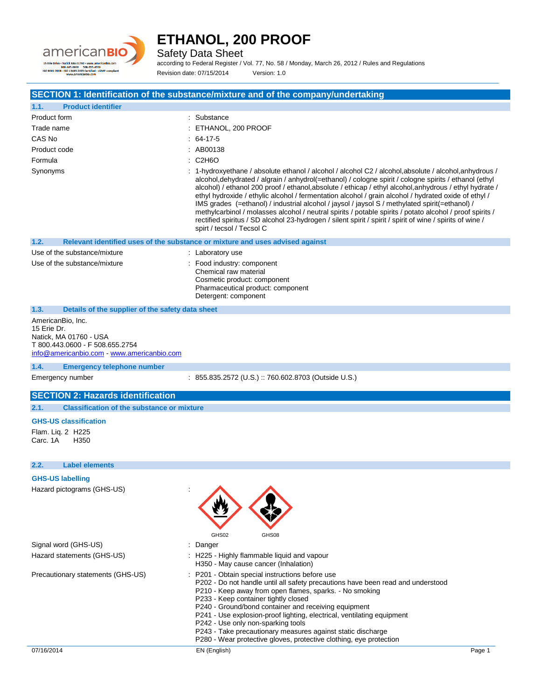

Safety Data Sheet

according to Federal Register / Vol. 77, No. 58 / Monday, March 26, 2012 / Rules and Regulations Revision date: 07/15/2014 Version: 1.0

### **SECTION 1: Identification of the substance/mixture and of the company/undertaking**

| 1.1.         | <b>Product identifier</b>                        |                                                                                                                                                                                                                                                                                                                                                                                                                                                                                                                                                                                                                                                                                                                                                                                             |  |  |
|--------------|--------------------------------------------------|---------------------------------------------------------------------------------------------------------------------------------------------------------------------------------------------------------------------------------------------------------------------------------------------------------------------------------------------------------------------------------------------------------------------------------------------------------------------------------------------------------------------------------------------------------------------------------------------------------------------------------------------------------------------------------------------------------------------------------------------------------------------------------------------|--|--|
| Product form |                                                  | : Substance                                                                                                                                                                                                                                                                                                                                                                                                                                                                                                                                                                                                                                                                                                                                                                                 |  |  |
| Trade name   |                                                  | : ETHANOL, 200 PROOF                                                                                                                                                                                                                                                                                                                                                                                                                                                                                                                                                                                                                                                                                                                                                                        |  |  |
| CAS No       |                                                  | $: 64-17-5$                                                                                                                                                                                                                                                                                                                                                                                                                                                                                                                                                                                                                                                                                                                                                                                 |  |  |
| Product code |                                                  | : AB00138                                                                                                                                                                                                                                                                                                                                                                                                                                                                                                                                                                                                                                                                                                                                                                                   |  |  |
| Formula      |                                                  | C2H6O                                                                                                                                                                                                                                                                                                                                                                                                                                                                                                                                                                                                                                                                                                                                                                                       |  |  |
| Synonyms     |                                                  | : 1-hydroxyethane / absolute ethanol / alcohol / alcohol C2 / alcohol, absolute / alcohol, anhydrous /<br>alcohol, dehydrated / algrain / anhydrol(=ethanol) / cologne spirit / cologne spirits / ethanol (ethyl<br>alcohol) / ethanol 200 proof / ethanol, absolute / ethicap / ethyl alcohol, anhydrous / ethyl hydrate /<br>ethyl hydroxide / ethylic alcohol / fermentation alcohol / grain alcohol / hydrated oxide of ethyl /<br>IMS grades (=ethanol) / industrial alcohol / jaysol / jaysol S / methylated spirit(=ethanol) /<br>methylcarbinol / molasses alcohol / neutral spirits / potable spirits / potato alcohol / proof spirits /<br>rectified spiritus / SD alcohol 23-hydrogen / silent spirit / spirit / spirit of wine / spirits of wine /<br>spirt / tecsol / Tecsol C |  |  |
| 1.2.         |                                                  | Relevant identified uses of the substance or mixture and uses advised against                                                                                                                                                                                                                                                                                                                                                                                                                                                                                                                                                                                                                                                                                                               |  |  |
|              | Use of the substance/mixture                     | : Laboratory use                                                                                                                                                                                                                                                                                                                                                                                                                                                                                                                                                                                                                                                                                                                                                                            |  |  |
|              | Use of the substance/mixture                     | : Food industry: component<br>Chemical raw material<br>Cosmetic product: component<br>Pharmaceutical product: component<br>Detergent: component                                                                                                                                                                                                                                                                                                                                                                                                                                                                                                                                                                                                                                             |  |  |
| 1.3.         | Details of the supplier of the safety data sheet |                                                                                                                                                                                                                                                                                                                                                                                                                                                                                                                                                                                                                                                                                                                                                                                             |  |  |

AmericanBio, Inc. 15 Erie Dr. Natick, MA 01760 - USA T 800.443.0600 - F 508.655.2754 [info@americanbio.com](mailto:info@americanbio.com) - <www.americanbio.com>

#### **1.4. Emergency telephone number**

Emergency number : 855.835.2572 (U.S.) :: 760.602.8703 (Outside U.S.)

### **SECTION 2: Hazards identification**

**2.1. Classification of the substance or mixture**

#### **GHS-US classification**

Flam. Liq. 2 H225 Carc. 1A H350

#### **2.2. Label elements**

**GHS-US labelling** Hazard pictograms (GHS-US) :



|                            | GHS02    | GHS08                                       |
|----------------------------|----------|---------------------------------------------|
| Signal word (GHS-US)       | : Danger |                                             |
| Hazard statements (GHS-US) |          | : H225 - Highly flammable liquid and vapour |

- H350 May cause cancer (Inhalation)
- 
- Precautionary statements (GHS-US) : P201 Obtain special instructions before use
	- P202 Do not handle until all safety precautions have been read and understood
	- P210 Keep away from open flames, sparks. No smoking
	- P233 Keep container tightly closed
	- P240 Ground/bond container and receiving equipment
	- P241 Use explosion-proof lighting, electrical, ventilating equipment
	- P242 Use only non-sparking tools
	- P243 Take precautionary measures against static discharge
	- P280 Wear protective gloves, protective clothing, eye protection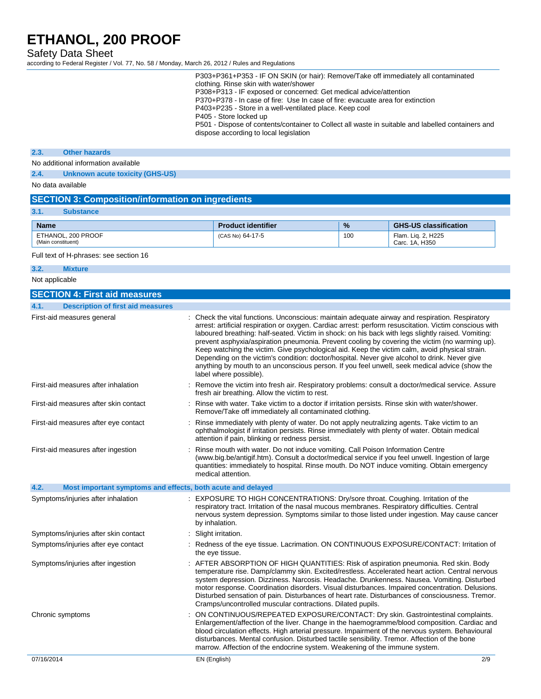Safety Data Sheet

according to Federal Register / Vol. 77, No. 58 / Monday, March 26, 2012 / Rules and Regulations

| P303+P361+P353 - IF ON SKIN (or hair): Remove/Take off immediately all contaminated               |
|---------------------------------------------------------------------------------------------------|
| clothing. Rinse skin with water/shower                                                            |
| P308+P313 - IF exposed or concerned: Get medical advice/attention                                 |
| P370+P378 - In case of fire: Use In case of fire: evacuate area for extinction                    |
| P403+P235 - Store in a well-ventilated place. Keep cool                                           |
| P405 - Store locked up                                                                            |
| P501 - Dispose of contents/container to Collect all waste in suitable and labelled containers and |
| dispose according to local legislation                                                            |

#### **2.3. Other hazards**

No additional information available

**2.4. Unknown acute toxicity (GHS-US)**

No data available

## **SECTION 3: Composition/information on ingredients**

| 3.1.<br><b>Substance</b> |  |
|--------------------------|--|
|--------------------------|--|

| <b>Name</b>                              | <b>Product identifier</b> | $\frac{9}{6}$ | <b>GHS-US classification</b>         |
|------------------------------------------|---------------------------|---------------|--------------------------------------|
| ETHANOL, 200 PROOF<br>(Main constituent) | (CAS No) 64-17-5          | 100           | Flam. Lig. 2. H225<br>Carc. 1A. H350 |

Full text of H-phrases: see section 16

#### **3.2. Mixture**

Not applicable

| <b>SECTION 4: First aid measures</b>                                |                                                                                                                                                                                                                                                                                                                                                                                                                                                                                                                                                                                                                                                                                                                                                 |
|---------------------------------------------------------------------|-------------------------------------------------------------------------------------------------------------------------------------------------------------------------------------------------------------------------------------------------------------------------------------------------------------------------------------------------------------------------------------------------------------------------------------------------------------------------------------------------------------------------------------------------------------------------------------------------------------------------------------------------------------------------------------------------------------------------------------------------|
| 4.1.<br><b>Description of first aid measures</b>                    |                                                                                                                                                                                                                                                                                                                                                                                                                                                                                                                                                                                                                                                                                                                                                 |
| First-aid measures general                                          | : Check the vital functions. Unconscious: maintain adequate airway and respiration. Respiratory<br>arrest: artificial respiration or oxygen. Cardiac arrest: perform resuscitation. Victim conscious with<br>laboured breathing: half-seated. Victim in shock: on his back with legs slightly raised. Vomiting:<br>prevent asphyxia/aspiration pneumonia. Prevent cooling by covering the victim (no warming up).<br>Keep watching the victim. Give psychological aid. Keep the victim calm, avoid physical strain.<br>Depending on the victim's condition: doctor/hospital. Never give alcohol to drink. Never give<br>anything by mouth to an unconscious person. If you feel unwell, seek medical advice (show the<br>label where possible). |
| First-aid measures after inhalation                                 | : Remove the victim into fresh air. Respiratory problems: consult a doctor/medical service. Assure<br>fresh air breathing. Allow the victim to rest.                                                                                                                                                                                                                                                                                                                                                                                                                                                                                                                                                                                            |
| First-aid measures after skin contact                               | : Rinse with water. Take victim to a doctor if irritation persists. Rinse skin with water/shower.<br>Remove/Take off immediately all contaminated clothing.                                                                                                                                                                                                                                                                                                                                                                                                                                                                                                                                                                                     |
| First-aid measures after eye contact                                | : Rinse immediately with plenty of water. Do not apply neutralizing agents. Take victim to an<br>ophthalmologist if irritation persists. Rinse immediately with plenty of water. Obtain medical<br>attention if pain, blinking or redness persist.                                                                                                                                                                                                                                                                                                                                                                                                                                                                                              |
| First-aid measures after ingestion                                  | : Rinse mouth with water. Do not induce vomiting. Call Poison Information Centre<br>(www.big.be/antigif.htm). Consult a doctor/medical service if you feel unwell. Ingestion of large<br>quantities: immediately to hospital. Rinse mouth. Do NOT induce vomiting. Obtain emergency<br>medical attention.                                                                                                                                                                                                                                                                                                                                                                                                                                       |
| 4.2.<br>Most important symptoms and effects, both acute and delayed |                                                                                                                                                                                                                                                                                                                                                                                                                                                                                                                                                                                                                                                                                                                                                 |
| Symptoms/injuries after inhalation                                  | : EXPOSURE TO HIGH CONCENTRATIONS: Dry/sore throat. Coughing. Irritation of the<br>respiratory tract. Irritation of the nasal mucous membranes. Respiratory difficulties. Central<br>nervous system depression. Symptoms similar to those listed under ingestion. May cause cancer<br>by inhalation.                                                                                                                                                                                                                                                                                                                                                                                                                                            |
| Symptoms/injuries after skin contact                                | Slight irritation.                                                                                                                                                                                                                                                                                                                                                                                                                                                                                                                                                                                                                                                                                                                              |
| Symptoms/injuries after eye contact                                 | : Redness of the eye tissue. Lacrimation. ON CONTINUOUS EXPOSURE/CONTACT: Irritation of<br>the eye tissue.                                                                                                                                                                                                                                                                                                                                                                                                                                                                                                                                                                                                                                      |
| Symptoms/injuries after ingestion                                   | : AFTER ABSORPTION OF HIGH QUANTITIES: Risk of aspiration pneumonia. Red skin. Body<br>temperature rise. Damp/clammy skin. Excited/restless. Accelerated heart action. Central nervous<br>system depression. Dizziness. Narcosis. Headache. Drunkenness. Nausea. Vomiting. Disturbed<br>motor response. Coordination disorders. Visual disturbances. Impaired concentration. Delusions.<br>Disturbed sensation of pain. Disturbances of heart rate. Disturbances of consciousness. Tremor.<br>Cramps/uncontrolled muscular contractions. Dilated pupils.                                                                                                                                                                                        |
| Chronic symptoms                                                    | ON CONTINUOUS/REPEATED EXPOSURE/CONTACT: Dry skin. Gastrointestinal complaints.<br>Enlargement/affection of the liver. Change in the haemogramme/blood composition. Cardiac and<br>blood circulation effects. High arterial pressure. Impairment of the nervous system. Behavioural<br>disturbances. Mental confusion. Disturbed tactile sensibility. Tremor. Affection of the bone<br>marrow. Affection of the endocrine system. Weakening of the immune system.                                                                                                                                                                                                                                                                               |
| 07/16/2014                                                          | EN (English)<br>2/9                                                                                                                                                                                                                                                                                                                                                                                                                                                                                                                                                                                                                                                                                                                             |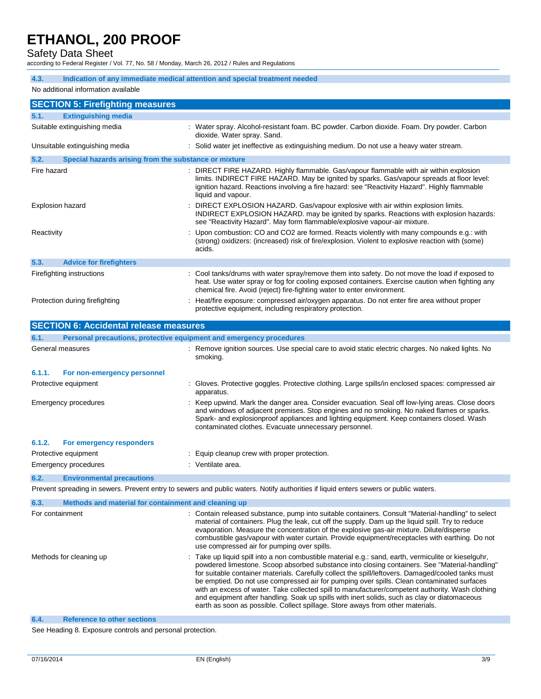## Safety Data Sheet

according to Federal Register / Vol. 77, No. 58 / Monday, March 26, 2012 / Rules and Regulations

| 4.3.                                                         | Indication of any immediate medical attention and special treatment needed |                                                                                                                                                                                                                                                                                                                                                                                                                                                                                                                                                                                                                                                                                               |  |  |  |
|--------------------------------------------------------------|----------------------------------------------------------------------------|-----------------------------------------------------------------------------------------------------------------------------------------------------------------------------------------------------------------------------------------------------------------------------------------------------------------------------------------------------------------------------------------------------------------------------------------------------------------------------------------------------------------------------------------------------------------------------------------------------------------------------------------------------------------------------------------------|--|--|--|
|                                                              | No additional information available                                        |                                                                                                                                                                                                                                                                                                                                                                                                                                                                                                                                                                                                                                                                                               |  |  |  |
| <b>SECTION 5: Firefighting measures</b>                      |                                                                            |                                                                                                                                                                                                                                                                                                                                                                                                                                                                                                                                                                                                                                                                                               |  |  |  |
| 5.1.<br><b>Extinguishing media</b>                           |                                                                            |                                                                                                                                                                                                                                                                                                                                                                                                                                                                                                                                                                                                                                                                                               |  |  |  |
| Suitable extinguishing media                                 |                                                                            | : Water spray. Alcohol-resistant foam. BC powder. Carbon dioxide. Foam. Dry powder. Carbon<br>dioxide. Water spray. Sand.                                                                                                                                                                                                                                                                                                                                                                                                                                                                                                                                                                     |  |  |  |
|                                                              | Unsuitable extinguishing media                                             | : Solid water jet ineffective as extinguishing medium. Do not use a heavy water stream.                                                                                                                                                                                                                                                                                                                                                                                                                                                                                                                                                                                                       |  |  |  |
| 5.2.                                                         | Special hazards arising from the substance or mixture                      |                                                                                                                                                                                                                                                                                                                                                                                                                                                                                                                                                                                                                                                                                               |  |  |  |
| Fire hazard                                                  |                                                                            | DIRECT FIRE HAZARD. Highly flammable. Gas/vapour flammable with air within explosion<br>limits. INDIRECT FIRE HAZARD. May be ignited by sparks. Gas/vapour spreads at floor level:<br>ignition hazard. Reactions involving a fire hazard: see "Reactivity Hazard". Highly flammable<br>liquid and vapour.                                                                                                                                                                                                                                                                                                                                                                                     |  |  |  |
|                                                              | <b>Explosion hazard</b>                                                    | DIRECT EXPLOSION HAZARD. Gas/vapour explosive with air within explosion limits.<br>INDIRECT EXPLOSION HAZARD. may be ignited by sparks. Reactions with explosion hazards:<br>see "Reactivity Hazard". May form flammable/explosive vapour-air mixture.                                                                                                                                                                                                                                                                                                                                                                                                                                        |  |  |  |
| Reactivity                                                   |                                                                            | Upon combustion: CO and CO2 are formed. Reacts violently with many compounds e.g.: with<br>(strong) oxidizers: (increased) risk of fire/explosion. Violent to explosive reaction with (some)<br>acids.                                                                                                                                                                                                                                                                                                                                                                                                                                                                                        |  |  |  |
| 5.3.                                                         | <b>Advice for firefighters</b>                                             |                                                                                                                                                                                                                                                                                                                                                                                                                                                                                                                                                                                                                                                                                               |  |  |  |
|                                                              | Firefighting instructions                                                  | Cool tanks/drums with water spray/remove them into safety. Do not move the load if exposed to<br>heat. Use water spray or fog for cooling exposed containers. Exercise caution when fighting any<br>chemical fire. Avoid (reject) fire-fighting water to enter environment.                                                                                                                                                                                                                                                                                                                                                                                                                   |  |  |  |
|                                                              | Protection during firefighting                                             | Heat/fire exposure: compressed air/oxygen apparatus. Do not enter fire area without proper<br>protective equipment, including respiratory protection.                                                                                                                                                                                                                                                                                                                                                                                                                                                                                                                                         |  |  |  |
|                                                              | <b>SECTION 6: Accidental release measures</b>                              |                                                                                                                                                                                                                                                                                                                                                                                                                                                                                                                                                                                                                                                                                               |  |  |  |
| 6.1.                                                         | Personal precautions, protective equipment and emergency procedures        |                                                                                                                                                                                                                                                                                                                                                                                                                                                                                                                                                                                                                                                                                               |  |  |  |
|                                                              | General measures                                                           | : Remove ignition sources. Use special care to avoid static electric charges. No naked lights. No<br>smoking.                                                                                                                                                                                                                                                                                                                                                                                                                                                                                                                                                                                 |  |  |  |
| 6.1.1.                                                       | For non-emergency personnel                                                |                                                                                                                                                                                                                                                                                                                                                                                                                                                                                                                                                                                                                                                                                               |  |  |  |
|                                                              | Protective equipment                                                       | Gloves. Protective goggles. Protective clothing. Large spills/in enclosed spaces: compressed air<br>apparatus.                                                                                                                                                                                                                                                                                                                                                                                                                                                                                                                                                                                |  |  |  |
| Emergency procedures                                         |                                                                            | Keep upwind. Mark the danger area. Consider evacuation. Seal off low-lying areas. Close doors<br>and windows of adjacent premises. Stop engines and no smoking. No naked flames or sparks.<br>Spark- and explosionproof appliances and lighting equipment. Keep containers closed. Wash<br>contaminated clothes. Evacuate unnecessary personnel.                                                                                                                                                                                                                                                                                                                                              |  |  |  |
| 6.1.2.                                                       | For emergency responders                                                   |                                                                                                                                                                                                                                                                                                                                                                                                                                                                                                                                                                                                                                                                                               |  |  |  |
|                                                              | Protective equipment                                                       | Equip cleanup crew with proper protection.                                                                                                                                                                                                                                                                                                                                                                                                                                                                                                                                                                                                                                                    |  |  |  |
|                                                              | <b>Emergency procedures</b>                                                | : Ventilate area.                                                                                                                                                                                                                                                                                                                                                                                                                                                                                                                                                                                                                                                                             |  |  |  |
| 6.2.                                                         | <b>Environmental precautions</b>                                           |                                                                                                                                                                                                                                                                                                                                                                                                                                                                                                                                                                                                                                                                                               |  |  |  |
|                                                              |                                                                            | Prevent spreading in sewers. Prevent entry to sewers and public waters. Notify authorities if liquid enters sewers or public waters.                                                                                                                                                                                                                                                                                                                                                                                                                                                                                                                                                          |  |  |  |
| Methods and material for containment and cleaning up<br>6.3. |                                                                            |                                                                                                                                                                                                                                                                                                                                                                                                                                                                                                                                                                                                                                                                                               |  |  |  |
| For containment                                              |                                                                            | : Contain released substance, pump into suitable containers. Consult "Material-handling" to select<br>material of containers. Plug the leak, cut off the supply. Dam up the liquid spill. Try to reduce<br>evaporation. Measure the concentration of the explosive gas-air mixture. Dilute/disperse<br>combustible gas/vapour with water curtain. Provide equipment/receptacles with earthing. Do not<br>use compressed air for pumping over spills.                                                                                                                                                                                                                                          |  |  |  |
| Methods for cleaning up                                      |                                                                            | Take up liquid spill into a non combustible material e.g.: sand, earth, vermiculite or kieselguhr,<br>powdered limestone. Scoop absorbed substance into closing containers. See "Material-handling"<br>for suitable container materials. Carefully collect the spill/leftovers. Damaged/cooled tanks must<br>be emptied. Do not use compressed air for pumping over spills. Clean contaminated surfaces<br>with an excess of water. Take collected spill to manufacturer/competent authority. Wash clothing<br>and equipment after handling. Soak up spills with inert solids, such as clay or diatomaceous<br>earth as soon as possible. Collect spillage. Store aways from other materials. |  |  |  |

**6.4. Reference to other sections**

See Heading 8. Exposure controls and personal protection.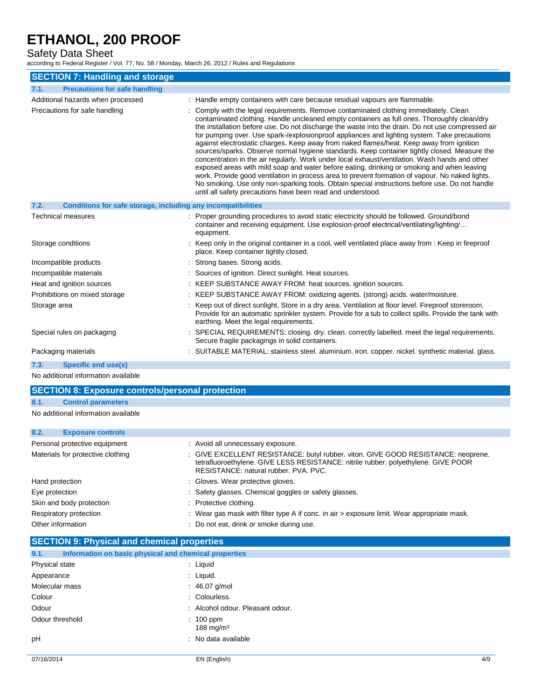## Safety Data Sheet

according to Federal Register / Vol. 77, No. 58 / Monday, March 26, 2012 / Rules and Regulations

| <b>SECTION 7: Handling and storage</b>                               |                                                                                                                                                                                                                                                                                                                                                                                                                                                                                                                                                                                                                                                                                                                                                                                                                                                                                                                                                                                                                                                         |  |  |  |
|----------------------------------------------------------------------|---------------------------------------------------------------------------------------------------------------------------------------------------------------------------------------------------------------------------------------------------------------------------------------------------------------------------------------------------------------------------------------------------------------------------------------------------------------------------------------------------------------------------------------------------------------------------------------------------------------------------------------------------------------------------------------------------------------------------------------------------------------------------------------------------------------------------------------------------------------------------------------------------------------------------------------------------------------------------------------------------------------------------------------------------------|--|--|--|
| <b>Precautions for safe handling</b><br>7.1.                         |                                                                                                                                                                                                                                                                                                                                                                                                                                                                                                                                                                                                                                                                                                                                                                                                                                                                                                                                                                                                                                                         |  |  |  |
| Additional hazards when processed                                    | : Handle empty containers with care because residual vapours are flammable.                                                                                                                                                                                                                                                                                                                                                                                                                                                                                                                                                                                                                                                                                                                                                                                                                                                                                                                                                                             |  |  |  |
| Precautions for safe handling                                        | Comply with the legal requirements. Remove contaminated clothing immediately. Clean<br>contaminated clothing. Handle uncleaned empty containers as full ones. Thoroughly clean/dry<br>the installation before use. Do not discharge the waste into the drain. Do not use compressed air<br>for pumping over. Use spark-/explosionproof appliances and lighting system. Take precautions<br>against electrostatic charges. Keep away from naked flames/heat. Keep away from ignition<br>sources/sparks. Observe normal hygiene standards. Keep container tightly closed. Measure the<br>concentration in the air regularly. Work under local exhaust/ventilation. Wash hands and other<br>exposed areas with mild soap and water before eating, drinking or smoking and when leaving<br>work. Provide good ventilation in process area to prevent formation of vapour. No naked lights.<br>No smoking. Use only non-sparking tools. Obtain special instructions before use. Do not handle<br>until all safety precautions have been read and understood. |  |  |  |
| Conditions for safe storage, including any incompatibilities<br>7.2. |                                                                                                                                                                                                                                                                                                                                                                                                                                                                                                                                                                                                                                                                                                                                                                                                                                                                                                                                                                                                                                                         |  |  |  |
| <b>Technical measures</b>                                            | Proper grounding procedures to avoid static electricity should be followed. Ground/bond<br>container and receiving equipment. Use explosion-proof electrical/ventilating/lighting/<br>equipment.                                                                                                                                                                                                                                                                                                                                                                                                                                                                                                                                                                                                                                                                                                                                                                                                                                                        |  |  |  |
| Storage conditions                                                   | Keep only in the original container in a cool, well ventilated place away from : Keep in fireproof<br>place. Keep container tightly closed.                                                                                                                                                                                                                                                                                                                                                                                                                                                                                                                                                                                                                                                                                                                                                                                                                                                                                                             |  |  |  |
| Incompatible products                                                | : Strong bases. Strong acids.                                                                                                                                                                                                                                                                                                                                                                                                                                                                                                                                                                                                                                                                                                                                                                                                                                                                                                                                                                                                                           |  |  |  |
| Incompatible materials                                               | : Sources of ignition. Direct sunlight. Heat sources.                                                                                                                                                                                                                                                                                                                                                                                                                                                                                                                                                                                                                                                                                                                                                                                                                                                                                                                                                                                                   |  |  |  |
| Heat and ignition sources                                            | : KEEP SUBSTANCE AWAY FROM: heat sources. ignition sources.                                                                                                                                                                                                                                                                                                                                                                                                                                                                                                                                                                                                                                                                                                                                                                                                                                                                                                                                                                                             |  |  |  |
| Prohibitions on mixed storage                                        | : KEEP SUBSTANCE AWAY FROM: oxidizing agents. (strong) acids. water/moisture.                                                                                                                                                                                                                                                                                                                                                                                                                                                                                                                                                                                                                                                                                                                                                                                                                                                                                                                                                                           |  |  |  |
| Storage area                                                         | : Keep out of direct sunlight. Store in a dry area. Ventilation at floor level. Fireproof storeroom.<br>Provide for an automatic sprinkler system. Provide for a tub to collect spills. Provide the tank with<br>earthing. Meet the legal requirements.                                                                                                                                                                                                                                                                                                                                                                                                                                                                                                                                                                                                                                                                                                                                                                                                 |  |  |  |
| Special rules on packaging                                           | SPECIAL REQUIREMENTS: closing. dry. clean. correctly labelled. meet the legal requirements.<br>Secure fragile packagings in solid containers.                                                                                                                                                                                                                                                                                                                                                                                                                                                                                                                                                                                                                                                                                                                                                                                                                                                                                                           |  |  |  |
| Packaging materials                                                  | : SUITABLE MATERIAL: stainless steel. aluminium. iron. copper. nickel. synthetic material. glass.                                                                                                                                                                                                                                                                                                                                                                                                                                                                                                                                                                                                                                                                                                                                                                                                                                                                                                                                                       |  |  |  |
| 7.3.<br>Specific end use(s)                                          |                                                                                                                                                                                                                                                                                                                                                                                                                                                                                                                                                                                                                                                                                                                                                                                                                                                                                                                                                                                                                                                         |  |  |  |
|                                                                      |                                                                                                                                                                                                                                                                                                                                                                                                                                                                                                                                                                                                                                                                                                                                                                                                                                                                                                                                                                                                                                                         |  |  |  |

No additional information available

## **SECTION 8: Exposure controls/personal protection 8.1. Control parameters** No additional information available **8.2. Exposure controls** Personal protective equipment : Avoid all unnecessary exposure. Materials for protective clothing : GIVE EXCELLENT RESISTANCE: butyl rubber. viton. GIVE GOOD RESISTANCE: neoprene. tetrafluoroethylene. GIVE LESS RESISTANCE: nitrile rubber. polyethylene. GIVE POOR RESISTANCE: natural rubber. PVA. PVC. Hand protection **EXECUTE:** Gloves. Wear protective gloves. Eye protection : Safety glasses. Chemical goggles or safety glasses. Skin and body protection : Protective clothing.

- 
- Respiratory protection : Wear gas mask with filter type A if conc. in air > exposure limit. Wear appropriate mask. Other information **COLO 2018** 2018 : Do not eat, drink or smoke during use.

| <b>SECTION 9: Physical and chemical properties</b> |                                                       |     |  |  |
|----------------------------------------------------|-------------------------------------------------------|-----|--|--|
| 9.1.                                               | Information on basic physical and chemical properties |     |  |  |
| Physical state                                     | : Liquid                                              |     |  |  |
| Appearance                                         | : Liquid.                                             |     |  |  |
| Molecular mass                                     | : 46.07 g/mol                                         |     |  |  |
| Colour                                             | : Colourless.                                         |     |  |  |
| Odour                                              | : Alcohol odour. Pleasant odour.                      |     |  |  |
| Odour threshold                                    | $: 100$ ppm<br>188 mg/m $3$                           |     |  |  |
| pH                                                 | : No data available                                   |     |  |  |
| 07/16/2014                                         | EN (English)                                          | 4/9 |  |  |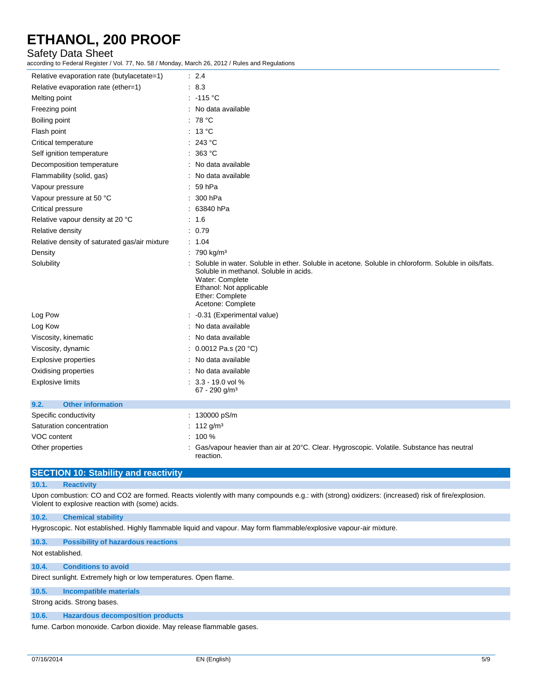### Safety Data Sheet

according to Federal Register / Vol. 77, No. 58 / Monday, March 26, 2012 / Rules and Regulations

| Relative evaporation rate (butylacetate=1)    | $\therefore$ 2.4                                                                                                                                                                                                                     |
|-----------------------------------------------|--------------------------------------------------------------------------------------------------------------------------------------------------------------------------------------------------------------------------------------|
| Relative evaporation rate (ether=1)           | .8.3                                                                                                                                                                                                                                 |
| Melting point                                 | $: -115 °C$                                                                                                                                                                                                                          |
| Freezing point                                | : No data available                                                                                                                                                                                                                  |
| Boiling point                                 | : $78 °C$                                                                                                                                                                                                                            |
| Flash point                                   | : 13 °C                                                                                                                                                                                                                              |
| Critical temperature                          | : 243 °C                                                                                                                                                                                                                             |
| Self ignition temperature                     | : 363 °C                                                                                                                                                                                                                             |
| Decomposition temperature                     | : No data available                                                                                                                                                                                                                  |
| Flammability (solid, gas)                     | : No data available                                                                                                                                                                                                                  |
| Vapour pressure                               | : 59hPa                                                                                                                                                                                                                              |
| Vapour pressure at 50 °C                      | : 300 hPa                                                                                                                                                                                                                            |
| Critical pressure                             | : 63840 hPa                                                                                                                                                                                                                          |
| Relative vapour density at 20 °C              | : 1.6                                                                                                                                                                                                                                |
| Relative density                              | : 0.79                                                                                                                                                                                                                               |
| Relative density of saturated gas/air mixture | : 1.04                                                                                                                                                                                                                               |
| Density                                       | : 790 kg/m <sup>3</sup>                                                                                                                                                                                                              |
| Solubility                                    | Soluble in water. Soluble in ether. Soluble in acetone. Soluble in chloroform. Soluble in oils/fats.<br>Soluble in methanol. Soluble in acids.<br>Water: Complete<br>Ethanol: Not applicable<br>Ether: Complete<br>Acetone: Complete |
| Log Pow                                       | : -0.31 (Experimental value)                                                                                                                                                                                                         |
| Log Kow                                       | : No data available                                                                                                                                                                                                                  |
| Viscosity, kinematic                          | : No data available                                                                                                                                                                                                                  |
| Viscosity, dynamic                            | : $0.0012$ Pa.s (20 °C)                                                                                                                                                                                                              |
| <b>Explosive properties</b>                   | : No data available                                                                                                                                                                                                                  |
| Oxidising properties                          | : No data available                                                                                                                                                                                                                  |
| Explosive limits                              | $: 3.3 - 19.0$ vol %<br>67 - 290 g/m <sup>3</sup>                                                                                                                                                                                    |
| <b>Other information</b><br>9.2.              |                                                                                                                                                                                                                                      |
| Specific conductivity                         | : 130000 pS/m                                                                                                                                                                                                                        |
| Saturation concentration                      | : $112 g/m3$                                                                                                                                                                                                                         |
| VOC content                                   | $: 100 \%$                                                                                                                                                                                                                           |
| Other properties                              | Gas/vapour heavier than air at 20°C. Clear. Hygroscopic. Volatile. Substance has neutral                                                                                                                                             |

### **SECTION 10: Stability and reactivity**

#### **10.1. Reactivity**

Upon combustion: CO and CO2 are formed. Reacts violently with many compounds e.g.: with (strong) oxidizers: (increased) risk of fire/explosion. Violent to explosive reaction with (some) acids.

#### **10.2. Chemical stability**

Hygroscopic. Not established. Highly flammable liquid and vapour. May form flammable/explosive vapour-air mixture.

reaction.

#### **10.3. Possibility of hazardous reactions**

Not established.

#### **10.4. Conditions to avoid**

Direct sunlight. Extremely high or low temperatures. Open flame.

#### **10.5. Incompatible materials**

Strong acids. Strong bases.

#### **10.6. Hazardous decomposition products**

fume. Carbon monoxide. Carbon dioxide. May release flammable gases.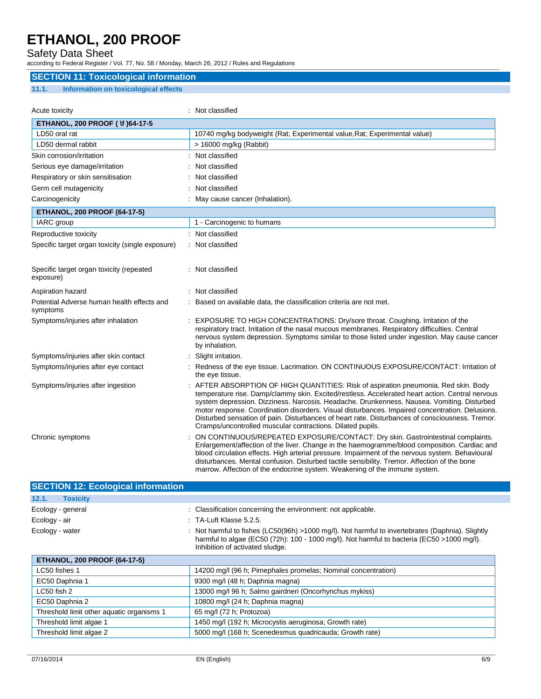## Safety Data Sheet

according to Federal Register / Vol. 77, No. 58 / Monday, March 26, 2012 / Rules and Regulations

## **SECTION 11: Toxicological information**

### **11.1. Information on toxicological effects**

| Acute toxicity                                         | : Not classified                                                                                                                                                                                                                                                                                                                                                                                                                                                                                                                                       |
|--------------------------------------------------------|--------------------------------------------------------------------------------------------------------------------------------------------------------------------------------------------------------------------------------------------------------------------------------------------------------------------------------------------------------------------------------------------------------------------------------------------------------------------------------------------------------------------------------------------------------|
| <b>ETHANOL, 200 PROOF (\f) 64-17-5</b>                 |                                                                                                                                                                                                                                                                                                                                                                                                                                                                                                                                                        |
| LD50 oral rat                                          | 10740 mg/kg bodyweight (Rat; Experimental value, Rat; Experimental value)                                                                                                                                                                                                                                                                                                                                                                                                                                                                              |
| LD50 dermal rabbit                                     | > 16000 mg/kg (Rabbit)                                                                                                                                                                                                                                                                                                                                                                                                                                                                                                                                 |
| Skin corrosion/irritation                              | : Not classified                                                                                                                                                                                                                                                                                                                                                                                                                                                                                                                                       |
| Serious eye damage/irritation                          | Not classified                                                                                                                                                                                                                                                                                                                                                                                                                                                                                                                                         |
| Respiratory or skin sensitisation                      | Not classified                                                                                                                                                                                                                                                                                                                                                                                                                                                                                                                                         |
| Germ cell mutagenicity                                 | Not classified                                                                                                                                                                                                                                                                                                                                                                                                                                                                                                                                         |
| Carcinogenicity                                        | May cause cancer (Inhalation).                                                                                                                                                                                                                                                                                                                                                                                                                                                                                                                         |
| <b>ETHANOL, 200 PROOF (64-17-5)</b>                    |                                                                                                                                                                                                                                                                                                                                                                                                                                                                                                                                                        |
| IARC group                                             | 1 - Carcinogenic to humans                                                                                                                                                                                                                                                                                                                                                                                                                                                                                                                             |
| Reproductive toxicity                                  | : Not classified                                                                                                                                                                                                                                                                                                                                                                                                                                                                                                                                       |
| Specific target organ toxicity (single exposure)       | : Not classified                                                                                                                                                                                                                                                                                                                                                                                                                                                                                                                                       |
|                                                        |                                                                                                                                                                                                                                                                                                                                                                                                                                                                                                                                                        |
| Specific target organ toxicity (repeated<br>exposure)  | : Not classified                                                                                                                                                                                                                                                                                                                                                                                                                                                                                                                                       |
| Aspiration hazard                                      | Not classified                                                                                                                                                                                                                                                                                                                                                                                                                                                                                                                                         |
| Potential Adverse human health effects and<br>symptoms | Based on available data, the classification criteria are not met.                                                                                                                                                                                                                                                                                                                                                                                                                                                                                      |
| Symptoms/injuries after inhalation                     | EXPOSURE TO HIGH CONCENTRATIONS: Dry/sore throat. Coughing. Irritation of the<br>respiratory tract. Irritation of the nasal mucous membranes. Respiratory difficulties. Central<br>nervous system depression. Symptoms similar to those listed under ingestion. May cause cancer<br>by inhalation.                                                                                                                                                                                                                                                     |
| Symptoms/injuries after skin contact                   | Slight irritation.                                                                                                                                                                                                                                                                                                                                                                                                                                                                                                                                     |
| Symptoms/injuries after eye contact                    | Redness of the eye tissue. Lacrimation. ON CONTINUOUS EXPOSURE/CONTACT: Irritation of<br>the eye tissue.                                                                                                                                                                                                                                                                                                                                                                                                                                               |
| Symptoms/injuries after ingestion                      | AFTER ABSORPTION OF HIGH QUANTITIES: Risk of aspiration pneumonia. Red skin. Body<br>temperature rise. Damp/clammy skin. Excited/restless. Accelerated heart action. Central nervous<br>system depression. Dizziness. Narcosis. Headache. Drunkenness. Nausea. Vomiting. Disturbed<br>motor response. Coordination disorders. Visual disturbances. Impaired concentration. Delusions.<br>Disturbed sensation of pain. Disturbances of heart rate. Disturbances of consciousness. Tremor.<br>Cramps/uncontrolled muscular contractions. Dilated pupils. |
| Chronic symptoms                                       | ON CONTINUOUS/REPEATED EXPOSURE/CONTACT: Dry skin. Gastrointestinal complaints.<br>Enlargement/affection of the liver. Change in the haemogramme/blood composition. Cardiac and<br>blood circulation effects. High arterial pressure. Impairment of the nervous system. Behavioural<br>disturbances. Mental confusion. Disturbed tactile sensibility. Tremor. Affection of the bone<br>marrow. Affection of the endocrine system. Weakening of the immune system.                                                                                      |

| <b>SECTION 12: Ecological information</b> |                                                                                                                                                                                                                                    |
|-------------------------------------------|------------------------------------------------------------------------------------------------------------------------------------------------------------------------------------------------------------------------------------|
| 12.1.<br><b>Toxicity</b>                  |                                                                                                                                                                                                                                    |
| Ecology - general                         | : Classification concerning the environment: not applicable.                                                                                                                                                                       |
| Ecology - air                             | $\therefore$ TA-Luft Klasse 5.2.5.                                                                                                                                                                                                 |
| Ecology - water                           | : Not harmful to fishes (LC50(96h) >1000 mg/l). Not harmful to invertebrates (Daphnia). Slightly<br>harmful to algae (EC50 (72h): 100 - 1000 mg/l). Not harmful to bacteria (EC50 > 1000 mg/l).<br>Inhibition of activated sludge. |

| <b>ETHANOL, 200 PROOF (64-17-5)</b>       |                                                               |  |  |
|-------------------------------------------|---------------------------------------------------------------|--|--|
| LC50 fishes 1                             | 14200 mg/l (96 h; Pimephales promelas; Nominal concentration) |  |  |
| EC50 Daphnia 1                            | 9300 mg/l (48 h; Daphnia magna)                               |  |  |
| $LC50$ fish $2$                           | 13000 mg/l 96 h; Salmo gairdneri (Oncorhynchus mykiss)        |  |  |
| EC50 Daphnia 2                            | 10800 mg/l (24 h; Daphnia magna)                              |  |  |
| Threshold limit other aquatic organisms 1 | 65 mg/l (72 h; Protozoa)                                      |  |  |
| Threshold limit algae 1                   | 1450 mg/l (192 h; Microcystis aeruginosa; Growth rate)        |  |  |
| Threshold limit algae 2                   | 5000 mg/l (168 h; Scenedesmus quadricauda; Growth rate)       |  |  |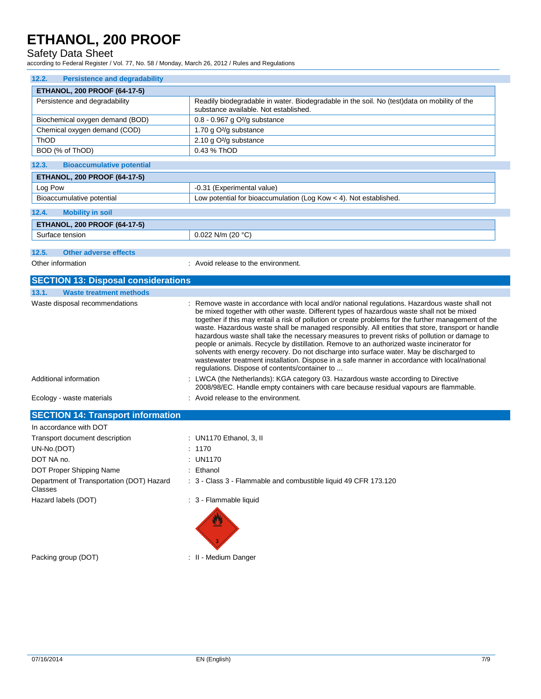Safety Data Sheet

according to Federal Register / Vol. 77, No. 58 / Monday, March 26, 2012 / Rules and Regulations

| <b>Persistence and degradability</b><br>12.2.        |                                                                                                                                                                                                                                                                                                                                                                                                                                                                                                                                                                                                                                                                                                                                                                                                                                                     |  |  |  |  |
|------------------------------------------------------|-----------------------------------------------------------------------------------------------------------------------------------------------------------------------------------------------------------------------------------------------------------------------------------------------------------------------------------------------------------------------------------------------------------------------------------------------------------------------------------------------------------------------------------------------------------------------------------------------------------------------------------------------------------------------------------------------------------------------------------------------------------------------------------------------------------------------------------------------------|--|--|--|--|
| <b>ETHANOL, 200 PROOF (64-17-5)</b>                  |                                                                                                                                                                                                                                                                                                                                                                                                                                                                                                                                                                                                                                                                                                                                                                                                                                                     |  |  |  |  |
| Persistence and degradability                        | Readily biodegradable in water. Biodegradable in the soil. No (test)data on mobility of the<br>substance available. Not established.                                                                                                                                                                                                                                                                                                                                                                                                                                                                                                                                                                                                                                                                                                                |  |  |  |  |
| Biochemical oxygen demand (BOD)                      | $0.8 - 0.967$ g O <sup>2</sup> /g substance                                                                                                                                                                                                                                                                                                                                                                                                                                                                                                                                                                                                                                                                                                                                                                                                         |  |  |  |  |
| Chemical oxygen demand (COD)                         | 1.70 g O <sup>2</sup> /g substance                                                                                                                                                                                                                                                                                                                                                                                                                                                                                                                                                                                                                                                                                                                                                                                                                  |  |  |  |  |
| ThOD                                                 | 2.10 g O <sup>2</sup> /g substance                                                                                                                                                                                                                                                                                                                                                                                                                                                                                                                                                                                                                                                                                                                                                                                                                  |  |  |  |  |
| BOD (% of ThOD)                                      | 0.43 % ThOD                                                                                                                                                                                                                                                                                                                                                                                                                                                                                                                                                                                                                                                                                                                                                                                                                                         |  |  |  |  |
| 12.3.<br><b>Bioaccumulative potential</b>            |                                                                                                                                                                                                                                                                                                                                                                                                                                                                                                                                                                                                                                                                                                                                                                                                                                                     |  |  |  |  |
| <b>ETHANOL, 200 PROOF (64-17-5)</b>                  |                                                                                                                                                                                                                                                                                                                                                                                                                                                                                                                                                                                                                                                                                                                                                                                                                                                     |  |  |  |  |
| Log Pow                                              | -0.31 (Experimental value)                                                                                                                                                                                                                                                                                                                                                                                                                                                                                                                                                                                                                                                                                                                                                                                                                          |  |  |  |  |
| Bioaccumulative potential                            | Low potential for bioaccumulation (Log Kow < 4). Not established.                                                                                                                                                                                                                                                                                                                                                                                                                                                                                                                                                                                                                                                                                                                                                                                   |  |  |  |  |
| 12.4.<br><b>Mobility in soil</b>                     |                                                                                                                                                                                                                                                                                                                                                                                                                                                                                                                                                                                                                                                                                                                                                                                                                                                     |  |  |  |  |
| <b>ETHANOL, 200 PROOF (64-17-5)</b>                  |                                                                                                                                                                                                                                                                                                                                                                                                                                                                                                                                                                                                                                                                                                                                                                                                                                                     |  |  |  |  |
| Surface tension                                      | 0.022 N/m (20 $°C$ )                                                                                                                                                                                                                                                                                                                                                                                                                                                                                                                                                                                                                                                                                                                                                                                                                                |  |  |  |  |
|                                                      |                                                                                                                                                                                                                                                                                                                                                                                                                                                                                                                                                                                                                                                                                                                                                                                                                                                     |  |  |  |  |
| 12.5.<br><b>Other adverse effects</b>                |                                                                                                                                                                                                                                                                                                                                                                                                                                                                                                                                                                                                                                                                                                                                                                                                                                                     |  |  |  |  |
| Other information                                    | $\therefore$ Avoid release to the environment.                                                                                                                                                                                                                                                                                                                                                                                                                                                                                                                                                                                                                                                                                                                                                                                                      |  |  |  |  |
| <b>SECTION 13: Disposal considerations</b>           |                                                                                                                                                                                                                                                                                                                                                                                                                                                                                                                                                                                                                                                                                                                                                                                                                                                     |  |  |  |  |
| 13.1.<br><b>Waste treatment methods</b>              |                                                                                                                                                                                                                                                                                                                                                                                                                                                                                                                                                                                                                                                                                                                                                                                                                                                     |  |  |  |  |
| Waste disposal recommendations                       | : Remove waste in accordance with local and/or national regulations. Hazardous waste shall not<br>be mixed together with other waste. Different types of hazardous waste shall not be mixed<br>together if this may entail a risk of pollution or create problems for the further management of the<br>waste. Hazardous waste shall be managed responsibly. All entities that store, transport or handle<br>hazardous waste shall take the necessary measures to prevent risks of pollution or damage to<br>people or animals. Recycle by distillation. Remove to an authorized waste incinerator for<br>solvents with energy recovery. Do not discharge into surface water. May be discharged to<br>wastewater treatment installation. Dispose in a safe manner in accordance with local/national<br>regulations. Dispose of contents/container to |  |  |  |  |
| Additional information                               | : LWCA (the Netherlands): KGA category 03. Hazardous waste according to Directive<br>2008/98/EC. Handle empty containers with care because residual vapours are flammable.                                                                                                                                                                                                                                                                                                                                                                                                                                                                                                                                                                                                                                                                          |  |  |  |  |
| Ecology - waste materials                            | : Avoid release to the environment.                                                                                                                                                                                                                                                                                                                                                                                                                                                                                                                                                                                                                                                                                                                                                                                                                 |  |  |  |  |
| <b>SECTION 14: Transport information</b>             |                                                                                                                                                                                                                                                                                                                                                                                                                                                                                                                                                                                                                                                                                                                                                                                                                                                     |  |  |  |  |
| In accordance with DOT                               |                                                                                                                                                                                                                                                                                                                                                                                                                                                                                                                                                                                                                                                                                                                                                                                                                                                     |  |  |  |  |
| Transport document description                       | : UN1170 Ethanol, 3, II                                                                                                                                                                                                                                                                                                                                                                                                                                                                                                                                                                                                                                                                                                                                                                                                                             |  |  |  |  |
| UN-No.(DOT)                                          | : 1170                                                                                                                                                                                                                                                                                                                                                                                                                                                                                                                                                                                                                                                                                                                                                                                                                                              |  |  |  |  |
| DOT NA no.                                           | : UN1170                                                                                                                                                                                                                                                                                                                                                                                                                                                                                                                                                                                                                                                                                                                                                                                                                                            |  |  |  |  |
| DOT Proper Shipping Name                             | : Ethanol                                                                                                                                                                                                                                                                                                                                                                                                                                                                                                                                                                                                                                                                                                                                                                                                                                           |  |  |  |  |
| Department of Transportation (DOT) Hazard<br>Classes | : 3 - Class 3 - Flammable and combustible liquid 49 CFR 173.120                                                                                                                                                                                                                                                                                                                                                                                                                                                                                                                                                                                                                                                                                                                                                                                     |  |  |  |  |
| Hazard labels (DOT)                                  | : 3 - Flammable liquid                                                                                                                                                                                                                                                                                                                                                                                                                                                                                                                                                                                                                                                                                                                                                                                                                              |  |  |  |  |
|                                                      |                                                                                                                                                                                                                                                                                                                                                                                                                                                                                                                                                                                                                                                                                                                                                                                                                                                     |  |  |  |  |
| Packing group (DOT)                                  | : II - Medium Danger                                                                                                                                                                                                                                                                                                                                                                                                                                                                                                                                                                                                                                                                                                                                                                                                                                |  |  |  |  |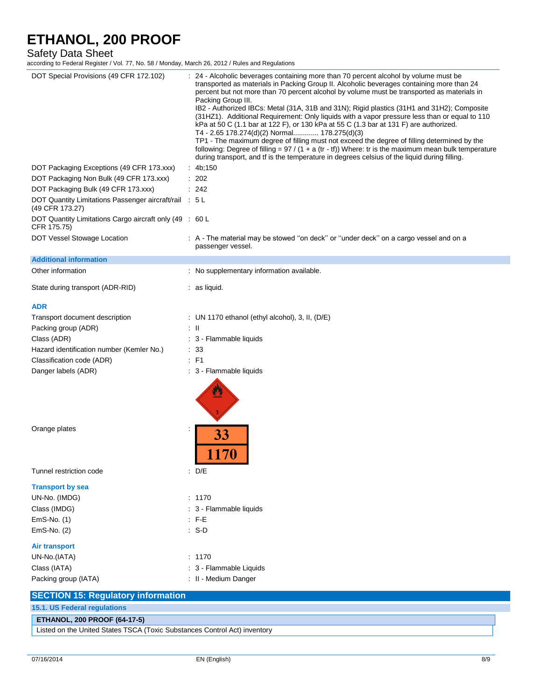## Safety Data Sheet

according to Federal Register / Vol. 77, No. 58 / Monday, March 26, 2012 / Rules and Regulations

| DOT Special Provisions (49 CFR 172.102)                                   | 24 - Alcoholic beverages containing more than 70 percent alcohol by volume must be<br>transported as materials in Packing Group II. Alcoholic beverages containing more than 24<br>percent but not more than 70 percent alcohol by volume must be transported as materials in<br>Packing Group III.<br>IB2 - Authorized IBCs: Metal (31A, 31B and 31N); Rigid plastics (31H1 and 31H2); Composite<br>(31HZ1). Additional Requirement: Only liquids with a vapor pressure less than or equal to 110<br>kPa at 50 C (1.1 bar at 122 F), or 130 kPa at 55 C (1.3 bar at 131 F) are authorized.<br>T4 - 2.65 178.274(d)(2) Normal 178.275(d)(3)<br>TP1 - The maximum degree of filling must not exceed the degree of filling determined by the<br>following: Degree of filling = $97 / (1 + a (tr - tf))$ Where: tr is the maximum mean bulk temperature<br>during transport, and if is the temperature in degrees celsius of the liquid during filling. |
|---------------------------------------------------------------------------|------------------------------------------------------------------------------------------------------------------------------------------------------------------------------------------------------------------------------------------------------------------------------------------------------------------------------------------------------------------------------------------------------------------------------------------------------------------------------------------------------------------------------------------------------------------------------------------------------------------------------------------------------------------------------------------------------------------------------------------------------------------------------------------------------------------------------------------------------------------------------------------------------------------------------------------------------|
| DOT Packaging Exceptions (49 CFR 173.xxx)                                 | : $4b;150$                                                                                                                                                                                                                                                                                                                                                                                                                                                                                                                                                                                                                                                                                                                                                                                                                                                                                                                                           |
| DOT Packaging Non Bulk (49 CFR 173.xxx)                                   | : 202                                                                                                                                                                                                                                                                                                                                                                                                                                                                                                                                                                                                                                                                                                                                                                                                                                                                                                                                                |
| DOT Packaging Bulk (49 CFR 173.xxx)                                       | : 242                                                                                                                                                                                                                                                                                                                                                                                                                                                                                                                                                                                                                                                                                                                                                                                                                                                                                                                                                |
| DOT Quantity Limitations Passenger aircraft/rail : 5 L<br>(49 CFR 173.27) |                                                                                                                                                                                                                                                                                                                                                                                                                                                                                                                                                                                                                                                                                                                                                                                                                                                                                                                                                      |
| DOT Quantity Limitations Cargo aircraft only (49 : 60 L<br>CFR 175.75)    |                                                                                                                                                                                                                                                                                                                                                                                                                                                                                                                                                                                                                                                                                                                                                                                                                                                                                                                                                      |
| DOT Vessel Stowage Location                                               | : A - The material may be stowed "on deck" or "under deck" on a cargo vessel and on a<br>passenger vessel.                                                                                                                                                                                                                                                                                                                                                                                                                                                                                                                                                                                                                                                                                                                                                                                                                                           |
| <b>Additional information</b>                                             |                                                                                                                                                                                                                                                                                                                                                                                                                                                                                                                                                                                                                                                                                                                                                                                                                                                                                                                                                      |
| Other information                                                         | : No supplementary information available.                                                                                                                                                                                                                                                                                                                                                                                                                                                                                                                                                                                                                                                                                                                                                                                                                                                                                                            |
| State during transport (ADR-RID)                                          | $:$ as liquid.                                                                                                                                                                                                                                                                                                                                                                                                                                                                                                                                                                                                                                                                                                                                                                                                                                                                                                                                       |
| <b>ADR</b>                                                                |                                                                                                                                                                                                                                                                                                                                                                                                                                                                                                                                                                                                                                                                                                                                                                                                                                                                                                                                                      |
| Transport document description                                            | : UN 1170 ethanol (ethyl alcohol), 3, II, (D/E)                                                                                                                                                                                                                                                                                                                                                                                                                                                                                                                                                                                                                                                                                                                                                                                                                                                                                                      |
| Packing group (ADR)                                                       | : II                                                                                                                                                                                                                                                                                                                                                                                                                                                                                                                                                                                                                                                                                                                                                                                                                                                                                                                                                 |
| Class (ADR)                                                               | : 3 - Flammable liquids                                                                                                                                                                                                                                                                                                                                                                                                                                                                                                                                                                                                                                                                                                                                                                                                                                                                                                                              |
| Hazard identification number (Kemler No.)                                 | : 33                                                                                                                                                                                                                                                                                                                                                                                                                                                                                                                                                                                                                                                                                                                                                                                                                                                                                                                                                 |
| Classification code (ADR)                                                 | : F1                                                                                                                                                                                                                                                                                                                                                                                                                                                                                                                                                                                                                                                                                                                                                                                                                                                                                                                                                 |
| Danger labels (ADR)                                                       | : 3 - Flammable liquids                                                                                                                                                                                                                                                                                                                                                                                                                                                                                                                                                                                                                                                                                                                                                                                                                                                                                                                              |
| Orange plates                                                             | 33<br>170                                                                                                                                                                                                                                                                                                                                                                                                                                                                                                                                                                                                                                                                                                                                                                                                                                                                                                                                            |
| Tunnel restriction code                                                   | : $D/E$                                                                                                                                                                                                                                                                                                                                                                                                                                                                                                                                                                                                                                                                                                                                                                                                                                                                                                                                              |
| <b>Transport by sea</b>                                                   |                                                                                                                                                                                                                                                                                                                                                                                                                                                                                                                                                                                                                                                                                                                                                                                                                                                                                                                                                      |
| UN-No. (IMDG)                                                             | : 1170                                                                                                                                                                                                                                                                                                                                                                                                                                                                                                                                                                                                                                                                                                                                                                                                                                                                                                                                               |
| Class (IMDG)                                                              | : 3 - Flammable liquids                                                                                                                                                                                                                                                                                                                                                                                                                                                                                                                                                                                                                                                                                                                                                                                                                                                                                                                              |
| EmS-No. (1)                                                               | $\therefore$ F-E                                                                                                                                                                                                                                                                                                                                                                                                                                                                                                                                                                                                                                                                                                                                                                                                                                                                                                                                     |
| EmS-No. (2)                                                               | : S-D                                                                                                                                                                                                                                                                                                                                                                                                                                                                                                                                                                                                                                                                                                                                                                                                                                                                                                                                                |
| <b>Air transport</b>                                                      |                                                                                                                                                                                                                                                                                                                                                                                                                                                                                                                                                                                                                                                                                                                                                                                                                                                                                                                                                      |
| UN-No.(IATA)                                                              | : 1170                                                                                                                                                                                                                                                                                                                                                                                                                                                                                                                                                                                                                                                                                                                                                                                                                                                                                                                                               |
| Class (IATA)                                                              | : 3 - Flammable Liquids                                                                                                                                                                                                                                                                                                                                                                                                                                                                                                                                                                                                                                                                                                                                                                                                                                                                                                                              |
| Packing group (IATA)                                                      | : II - Medium Danger                                                                                                                                                                                                                                                                                                                                                                                                                                                                                                                                                                                                                                                                                                                                                                                                                                                                                                                                 |
| <b>SECTION 15: Regulatory information</b>                                 |                                                                                                                                                                                                                                                                                                                                                                                                                                                                                                                                                                                                                                                                                                                                                                                                                                                                                                                                                      |
| 15.1. US Federal regulations                                              |                                                                                                                                                                                                                                                                                                                                                                                                                                                                                                                                                                                                                                                                                                                                                                                                                                                                                                                                                      |
| <b>ETHANOL, 200 PROOF (64-17-5)</b>                                       |                                                                                                                                                                                                                                                                                                                                                                                                                                                                                                                                                                                                                                                                                                                                                                                                                                                                                                                                                      |

Listed on the United States TSCA (Toxic Substances Control Act) inventory